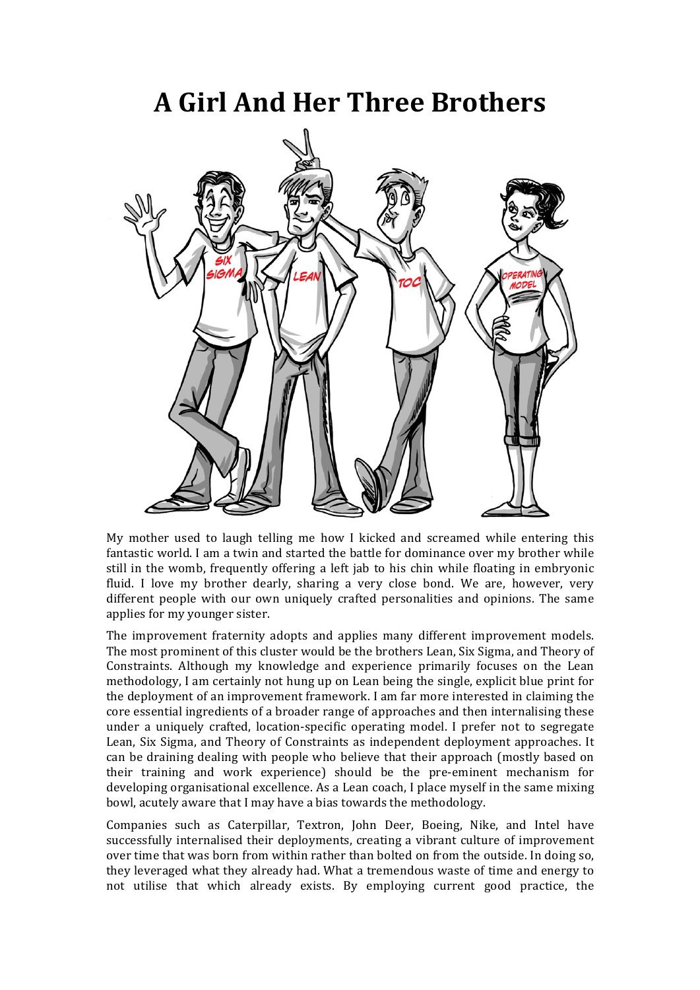## **A Girl And Her Three Brothers**



My mother used to laugh telling me how I kicked and screamed while entering this fantastic world. I am a twin and started the battle for dominance over my brother while still in the womb, frequently offering a left jab to his chin while floating in embryonic fluid. I love my brother dearly, sharing a very close bond. We are, however, very different people with our own uniquely crafted personalities and opinions. The same applies for my younger sister.

The improvement fraternity adopts and applies many different improvement models. The most prominent of this cluster would be the brothers Lean, Six Sigma, and Theory of Constraints. Although my knowledge and experience primarily focuses on the Lean methodology, I am certainly not hung up on Lean being the single, explicit blue print for the deployment of an improvement framework. I am far more interested in claiming the core essential ingredients of a broader range of approaches and then internalising these under a uniquely crafted, location-specific operating model. I prefer not to segregate Lean, Six Sigma, and Theory of Constraints as independent deployment approaches. It can be draining dealing with people who believe that their approach (mostly based on their training and work experience) should be the pre-eminent mechanism for developing organisational excellence. As a Lean coach, I place myself in the same mixing bowl, acutely aware that I may have a bias towards the methodology.

Companies such as Caterpillar, Textron, John Deer, Boeing, Nike, and Intel have successfully internalised their deployments, creating a vibrant culture of improvement over time that was born from within rather than bolted on from the outside. In doing so, they leveraged what they already had. What a tremendous waste of time and energy to not utilise that which already exists. By employing current good practice, the